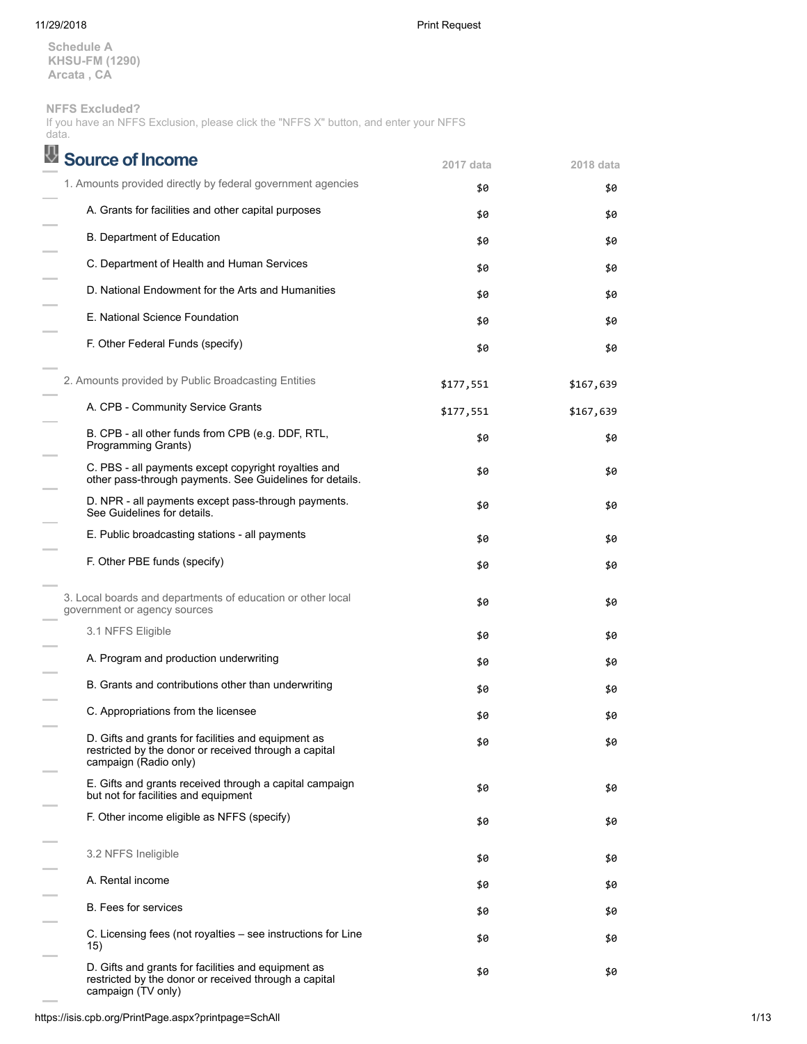11/29/2018 Print Request

**Schedule A KHSU-FM (1290) Arcata , CA**

# **NFFS Excluded?**

If you have an NFFS Exclusion, please click the "NFFS X" button, and enter your NFFS data.

| Source of Income                                                                                                                      | 2017 data | 2018 data |
|---------------------------------------------------------------------------------------------------------------------------------------|-----------|-----------|
| 1. Amounts provided directly by federal government agencies                                                                           | \$0       | \$0       |
| A. Grants for facilities and other capital purposes                                                                                   | \$0       | \$0       |
| B. Department of Education                                                                                                            | \$0       | \$0       |
| C. Department of Health and Human Services                                                                                            | \$0       | \$0       |
| D. National Endowment for the Arts and Humanities                                                                                     | \$0       | \$0       |
| E. National Science Foundation                                                                                                        | \$0       | \$0       |
| F. Other Federal Funds (specify)                                                                                                      | \$0       | \$0       |
| 2. Amounts provided by Public Broadcasting Entities                                                                                   | \$177,551 | \$167,639 |
| A. CPB - Community Service Grants                                                                                                     | \$177,551 | \$167,639 |
| B. CPB - all other funds from CPB (e.g. DDF, RTL,<br>Programming Grants)                                                              | \$0       | \$0       |
| C. PBS - all payments except copyright royalties and<br>other pass-through payments. See Guidelines for details.                      | \$0       | \$0       |
| D. NPR - all payments except pass-through payments.<br>See Guidelines for details.                                                    | \$0       | \$0       |
| E. Public broadcasting stations - all payments                                                                                        | \$0       | \$0       |
| F. Other PBE funds (specify)                                                                                                          | \$0       | \$0       |
| 3. Local boards and departments of education or other local<br>government or agency sources                                           | \$0       | \$0       |
| 3.1 NFFS Eligible                                                                                                                     | \$0       | \$0       |
| A. Program and production underwriting                                                                                                | \$0       | \$0       |
| B. Grants and contributions other than underwriting                                                                                   | \$0       | \$0       |
| C. Appropriations from the licensee                                                                                                   | \$0       | \$0       |
| D. Gifts and grants for facilities and equipment as<br>restricted by the donor or received through a capital<br>campaign (Radio only) | \$0       | \$0       |
| E. Gifts and grants received through a capital campaign<br>but not for facilities and equipment                                       | \$0       | \$0       |
| F. Other income eligible as NFFS (specify)                                                                                            | \$0       | \$0       |
| 3.2 NFFS Ineligible                                                                                                                   | \$0       | \$0       |
| A. Rental income                                                                                                                      | \$0       | \$0       |
| <b>B.</b> Fees for services                                                                                                           | \$0       | \$0       |
| C. Licensing fees (not royalties – see instructions for Line<br>15)                                                                   | \$0       | \$0       |
| D. Gifts and grants for facilities and equipment as<br>restricted by the donor or received through a capital<br>campaign (TV only)    | \$0       | \$0       |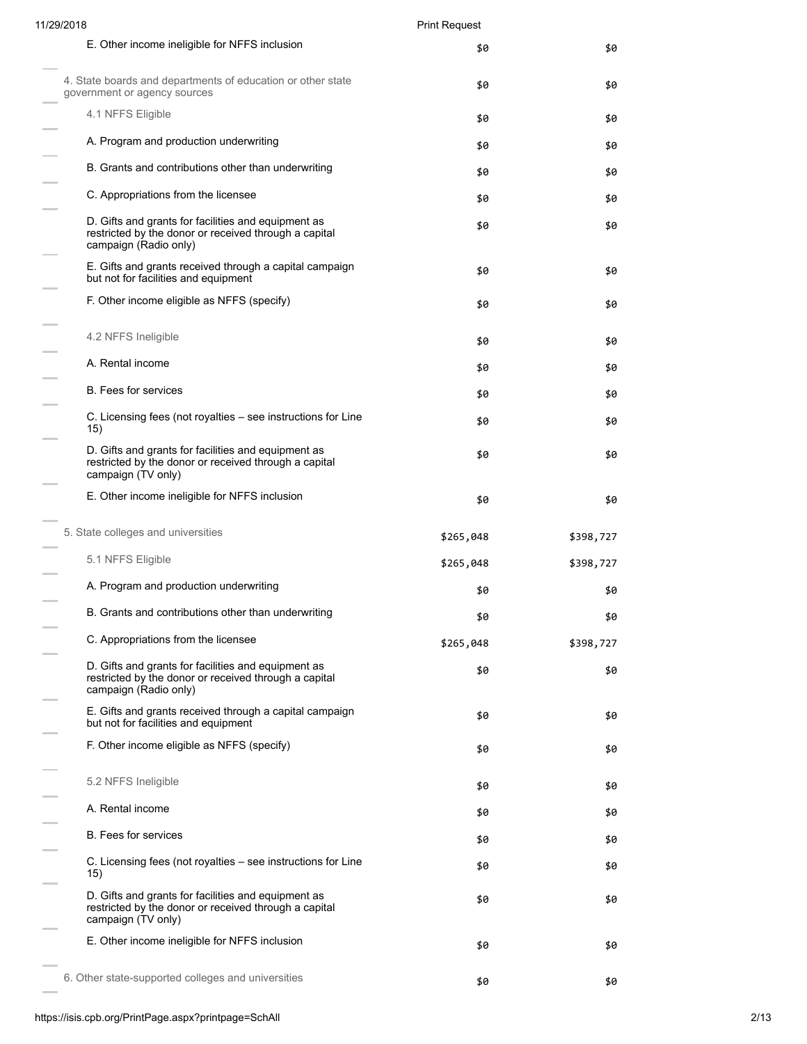| 11/29/2018                                                                                                                            | <b>Print Request</b> |           |
|---------------------------------------------------------------------------------------------------------------------------------------|----------------------|-----------|
| E. Other income ineligible for NFFS inclusion                                                                                         | \$0                  | \$0       |
| 4. State boards and departments of education or other state<br>government or agency sources                                           | \$0                  | \$0       |
| 4.1 NFFS Eligible                                                                                                                     | \$0                  | \$0       |
| A. Program and production underwriting                                                                                                | \$0                  | \$0       |
| B. Grants and contributions other than underwriting                                                                                   | \$0                  | \$0       |
| C. Appropriations from the licensee                                                                                                   | \$0                  | \$0       |
| D. Gifts and grants for facilities and equipment as<br>restricted by the donor or received through a capital<br>campaign (Radio only) | \$0                  | \$0       |
| E. Gifts and grants received through a capital campaign<br>but not for facilities and equipment                                       | \$0                  | \$0       |
| F. Other income eligible as NFFS (specify)                                                                                            | \$0                  | \$0       |
| 4.2 NFFS Ineligible                                                                                                                   | \$0                  | \$0       |
| A. Rental income                                                                                                                      | \$0                  | \$0       |
| <b>B.</b> Fees for services                                                                                                           | \$0                  | \$0       |
| C. Licensing fees (not royalties – see instructions for Line<br>15)                                                                   | \$0                  | \$0       |
| D. Gifts and grants for facilities and equipment as<br>restricted by the donor or received through a capital<br>campaign (TV only)    | \$0                  | \$0       |
| E. Other income ineligible for NFFS inclusion                                                                                         | \$0                  | \$0       |
| 5. State colleges and universities                                                                                                    | \$265,048            | \$398,727 |
| 5.1 NFFS Eligible                                                                                                                     | \$265,048            | \$398,727 |
| A. Program and production underwriting                                                                                                | \$0                  | \$0       |
| B. Grants and contributions other than underwriting                                                                                   | \$0                  | \$0       |
| C. Appropriations from the licensee                                                                                                   | \$265,048            | \$398,727 |
| D. Gifts and grants for facilities and equipment as<br>restricted by the donor or received through a capital<br>campaign (Radio only) | \$0                  | \$0       |
| E. Gifts and grants received through a capital campaign<br>but not for facilities and equipment                                       | \$0                  | \$0       |
| F. Other income eligible as NFFS (specify)                                                                                            | \$0                  | \$0       |
| 5.2 NFFS Ineligible                                                                                                                   | \$0                  | \$0       |
| A. Rental income                                                                                                                      | \$0                  | \$0       |
| <b>B.</b> Fees for services                                                                                                           | \$0                  | \$0       |
| C. Licensing fees (not royalties – see instructions for Line<br>15)                                                                   | \$0                  | \$0       |
| D. Gifts and grants for facilities and equipment as<br>restricted by the donor or received through a capital<br>campaign (TV only)    | \$0                  | \$0       |
| E. Other income ineligible for NFFS inclusion                                                                                         | \$0                  | \$0       |
| 6. Other state-supported colleges and universities                                                                                    | \$0                  | \$0       |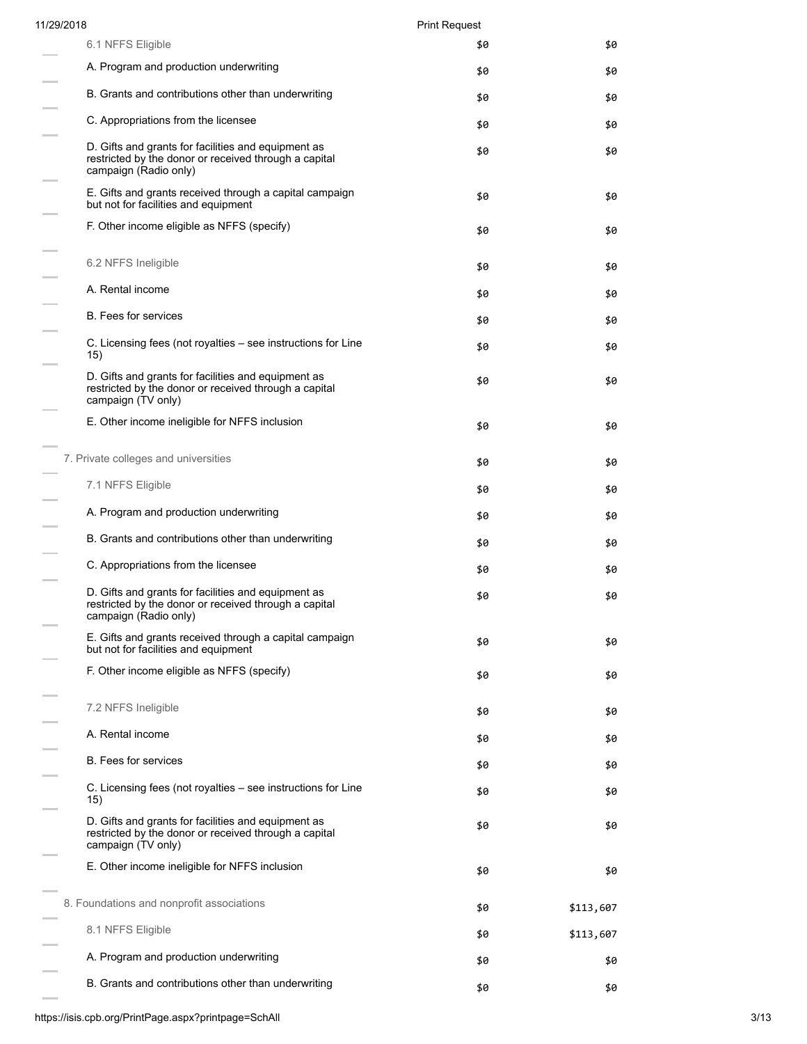| 11/29/2018                                                                                                                            | <b>Print Request</b> |           |
|---------------------------------------------------------------------------------------------------------------------------------------|----------------------|-----------|
| 6.1 NFFS Eligible                                                                                                                     | \$0                  | \$0       |
| A. Program and production underwriting                                                                                                | \$0                  | \$0       |
| B. Grants and contributions other than underwriting                                                                                   | \$0                  | \$0       |
| C. Appropriations from the licensee                                                                                                   | \$0                  | \$0       |
| D. Gifts and grants for facilities and equipment as<br>restricted by the donor or received through a capital<br>campaign (Radio only) | \$0                  | \$0       |
| E. Gifts and grants received through a capital campaign<br>but not for facilities and equipment                                       | \$0                  | \$0       |
| F. Other income eligible as NFFS (specify)                                                                                            | \$0                  | \$0       |
| 6.2 NFFS Ineligible                                                                                                                   | \$0                  | \$0       |
| A. Rental income                                                                                                                      | \$0                  | \$0       |
| <b>B.</b> Fees for services                                                                                                           | \$0                  | \$0       |
| C. Licensing fees (not royalties – see instructions for Line<br>15)                                                                   | \$0                  | \$0       |
| D. Gifts and grants for facilities and equipment as<br>restricted by the donor or received through a capital<br>campaign (TV only)    | \$0                  | \$0       |
| E. Other income ineligible for NFFS inclusion                                                                                         | \$0                  | \$0       |
| 7. Private colleges and universities                                                                                                  | \$0                  | \$0       |
| 7.1 NFFS Eligible                                                                                                                     | \$0                  | \$0       |
| A. Program and production underwriting                                                                                                | \$0                  | \$0       |
| B. Grants and contributions other than underwriting                                                                                   | \$0                  | \$0       |
| C. Appropriations from the licensee                                                                                                   | \$0                  | \$0       |
| D. Gifts and grants for facilities and equipment as<br>restricted by the donor or received through a capital<br>campaign (Radio only) | \$0                  | \$0       |
| E. Gifts and grants received through a capital campaign<br>but not for facilities and equipment                                       | \$0                  | \$0       |
| F. Other income eligible as NFFS (specify)                                                                                            | \$0                  | \$0       |
| 7.2 NFFS Ineligible                                                                                                                   | \$0                  | \$0       |
| A. Rental income                                                                                                                      | \$0                  | \$0       |
| <b>B.</b> Fees for services                                                                                                           | \$0                  | \$0       |
| C. Licensing fees (not royalties – see instructions for Line<br>15)                                                                   | \$0                  | \$0       |
| D. Gifts and grants for facilities and equipment as<br>restricted by the donor or received through a capital<br>campaign (TV only)    | \$0                  | \$0       |
| E. Other income ineligible for NFFS inclusion                                                                                         | \$0                  | \$0       |
| 8. Foundations and nonprofit associations                                                                                             | \$0                  | \$113,607 |
| 8.1 NFFS Eligible                                                                                                                     | \$0                  | \$113,607 |
| A. Program and production underwriting                                                                                                | \$0                  | \$0       |
| B. Grants and contributions other than underwriting                                                                                   | \$0                  | \$0       |

 $\sim$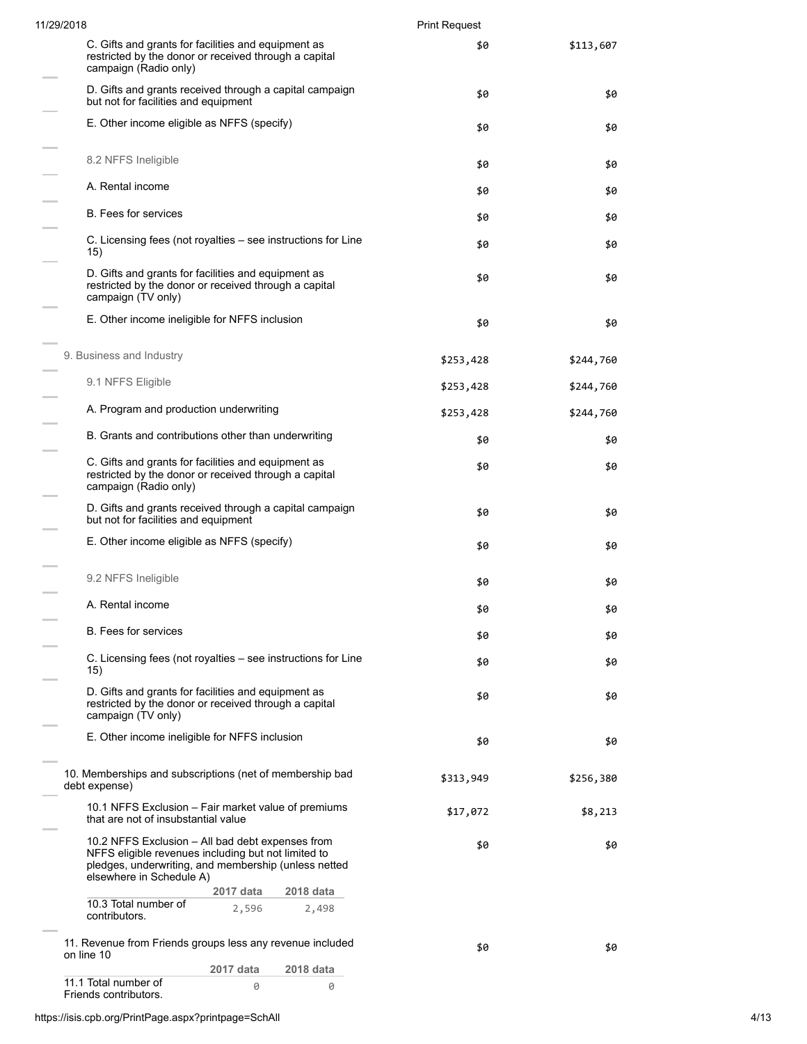| 11/29/2018                                                                                                                                                                                  | <b>Print Request</b> |           |
|---------------------------------------------------------------------------------------------------------------------------------------------------------------------------------------------|----------------------|-----------|
| C. Gifts and grants for facilities and equipment as<br>restricted by the donor or received through a capital<br>campaign (Radio only)                                                       | \$0                  | \$113,607 |
| D. Gifts and grants received through a capital campaign<br>but not for facilities and equipment                                                                                             | \$0                  | \$0       |
| E. Other income eligible as NFFS (specify)                                                                                                                                                  | \$0                  | \$0       |
| 8.2 NFFS Ineligible                                                                                                                                                                         | \$0                  | \$0       |
| A. Rental income                                                                                                                                                                            | \$0                  | \$0       |
| <b>B.</b> Fees for services                                                                                                                                                                 | \$0                  | \$0       |
| C. Licensing fees (not royalties – see instructions for Line<br>15)                                                                                                                         | \$0                  | \$0       |
| D. Gifts and grants for facilities and equipment as<br>restricted by the donor or received through a capital<br>campaign (TV only)                                                          | \$0                  | \$0       |
| E. Other income ineligible for NFFS inclusion                                                                                                                                               | \$0                  | \$0       |
| 9. Business and Industry                                                                                                                                                                    | \$253,428            | \$244,760 |
| 9.1 NFFS Eligible                                                                                                                                                                           | \$253,428            | \$244,760 |
| A. Program and production underwriting                                                                                                                                                      | \$253,428            | \$244,760 |
| B. Grants and contributions other than underwriting                                                                                                                                         | \$0                  | \$0       |
| C. Gifts and grants for facilities and equipment as<br>restricted by the donor or received through a capital<br>campaign (Radio only)                                                       | \$0                  | \$0       |
| D. Gifts and grants received through a capital campaign<br>but not for facilities and equipment                                                                                             | \$0                  | \$0       |
| E. Other income eligible as NFFS (specify)                                                                                                                                                  | \$0                  | \$0       |
| 9.2 NFFS Ineligible                                                                                                                                                                         | \$0                  | \$0       |
| A. Rental income                                                                                                                                                                            | \$0                  | \$0       |
| <b>B.</b> Fees for services                                                                                                                                                                 | \$0                  | \$0       |
| C. Licensing fees (not royalties – see instructions for Line<br>15)                                                                                                                         | \$0                  | \$0       |
| D. Gifts and grants for facilities and equipment as<br>restricted by the donor or received through a capital<br>campaign (TV only)                                                          | \$0                  | \$0       |
| E. Other income ineligible for NFFS inclusion                                                                                                                                               | \$0                  | \$0       |
| 10. Memberships and subscriptions (net of membership bad<br>debt expense)                                                                                                                   | \$313,949            | \$256,380 |
| 10.1 NFFS Exclusion – Fair market value of premiums<br>that are not of insubstantial value                                                                                                  | \$17,072             | \$8,213   |
| 10.2 NFFS Exclusion - All bad debt expenses from<br>NFFS eligible revenues including but not limited to<br>pledges, underwriting, and membership (unless netted<br>elsewhere in Schedule A) | \$0                  | \$0       |
| 2017 data<br>2018 data<br>10.3 Total number of                                                                                                                                              |                      |           |
| 2,596<br>2,498<br>contributors.                                                                                                                                                             |                      |           |
| 11. Revenue from Friends groups less any revenue included<br>on line 10                                                                                                                     | \$0                  | \$0       |
| 2017 data<br>2018 data<br>11.1 Total number of                                                                                                                                              |                      |           |
| 0<br>0<br>Friends contributors.                                                                                                                                                             |                      |           |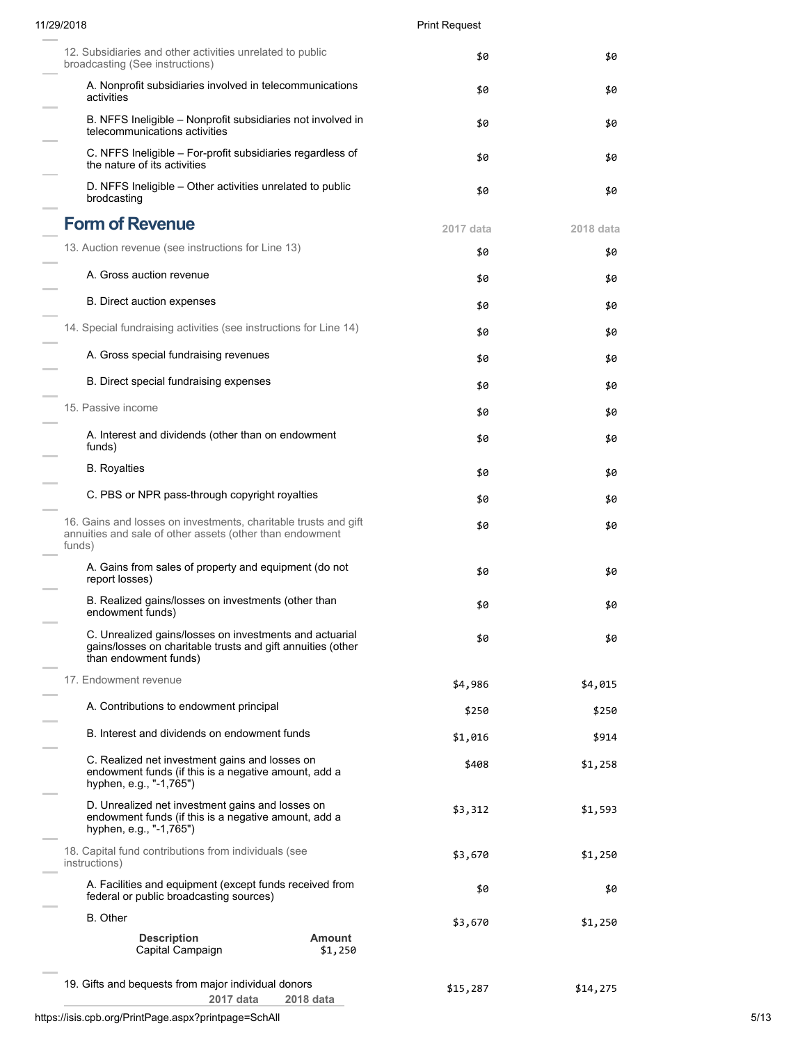| 11/29/2018                                                                                                                                      |                   | <b>Print Request</b> |           |  |
|-------------------------------------------------------------------------------------------------------------------------------------------------|-------------------|----------------------|-----------|--|
| 12. Subsidiaries and other activities unrelated to public<br>broadcasting (See instructions)                                                    |                   | \$0                  | \$0       |  |
| A. Nonprofit subsidiaries involved in telecommunications<br>activities                                                                          |                   | \$0                  | \$0       |  |
| B. NFFS Ineligible – Nonprofit subsidiaries not involved in<br>telecommunications activities                                                    |                   | \$0                  | \$0       |  |
| C. NFFS Ineligible – For-profit subsidiaries regardless of<br>the nature of its activities                                                      |                   | \$0                  | \$0       |  |
| D. NFFS Ineligible – Other activities unrelated to public<br>brodcasting                                                                        |                   | \$0                  | \$0       |  |
| <b>Form of Revenue</b>                                                                                                                          |                   | 2017 data            | 2018 data |  |
| 13. Auction revenue (see instructions for Line 13)                                                                                              |                   | \$0                  | \$0       |  |
| A. Gross auction revenue                                                                                                                        |                   | \$0                  | \$0       |  |
| B. Direct auction expenses                                                                                                                      |                   | \$0                  | \$0       |  |
| 14. Special fundraising activities (see instructions for Line 14)                                                                               |                   | \$0                  | \$0       |  |
| A. Gross special fundraising revenues                                                                                                           |                   | \$0                  | \$0       |  |
| B. Direct special fundraising expenses                                                                                                          |                   |                      |           |  |
| 15. Passive income                                                                                                                              |                   | \$0                  | \$0       |  |
| A. Interest and dividends (other than on endowment                                                                                              |                   | \$0                  | \$0       |  |
| funds)                                                                                                                                          |                   | \$0                  | \$0       |  |
| <b>B.</b> Royalties                                                                                                                             |                   | \$0                  | \$0       |  |
| C. PBS or NPR pass-through copyright royalties                                                                                                  |                   | \$0                  | \$0       |  |
| 16. Gains and losses on investments, charitable trusts and gift<br>annuities and sale of other assets (other than endowment<br>funds)           |                   | \$0                  | \$0       |  |
| A. Gains from sales of property and equipment (do not<br>report losses)                                                                         |                   | \$0                  | \$0       |  |
| B. Realized gains/losses on investments (other than<br>endowment funds)                                                                         |                   | \$0                  | \$0       |  |
| C. Unrealized gains/losses on investments and actuarial<br>gains/losses on charitable trusts and gift annuities (other<br>than endowment funds) |                   | \$0                  | \$0       |  |
| 17. Endowment revenue                                                                                                                           |                   | \$4,986              | \$4,015   |  |
| A. Contributions to endowment principal                                                                                                         |                   | \$250                | \$250     |  |
| B. Interest and dividends on endowment funds                                                                                                    |                   | \$1,016              | \$914     |  |
| C. Realized net investment gains and losses on<br>endowment funds (if this is a negative amount, add a<br>hyphen, e.g., "-1,765")               |                   | \$408                | \$1,258   |  |
| D. Unrealized net investment gains and losses on<br>endowment funds (if this is a negative amount, add a<br>hyphen, e.g., "-1,765")             |                   | \$3,312              | \$1,593   |  |
| 18. Capital fund contributions from individuals (see<br>instructions)                                                                           |                   | \$3,670              | \$1,250   |  |
| A. Facilities and equipment (except funds received from<br>federal or public broadcasting sources)                                              |                   | \$0                  | \$0       |  |
| B. Other                                                                                                                                        |                   | \$3,670              | \$1,250   |  |
| <b>Description</b><br>Capital Campaign                                                                                                          | Amount<br>\$1,250 |                      |           |  |
| 19. Gifts and bequests from major individual donors<br>2017 data                                                                                | 2018 data         | \$15,287             | \$14,275  |  |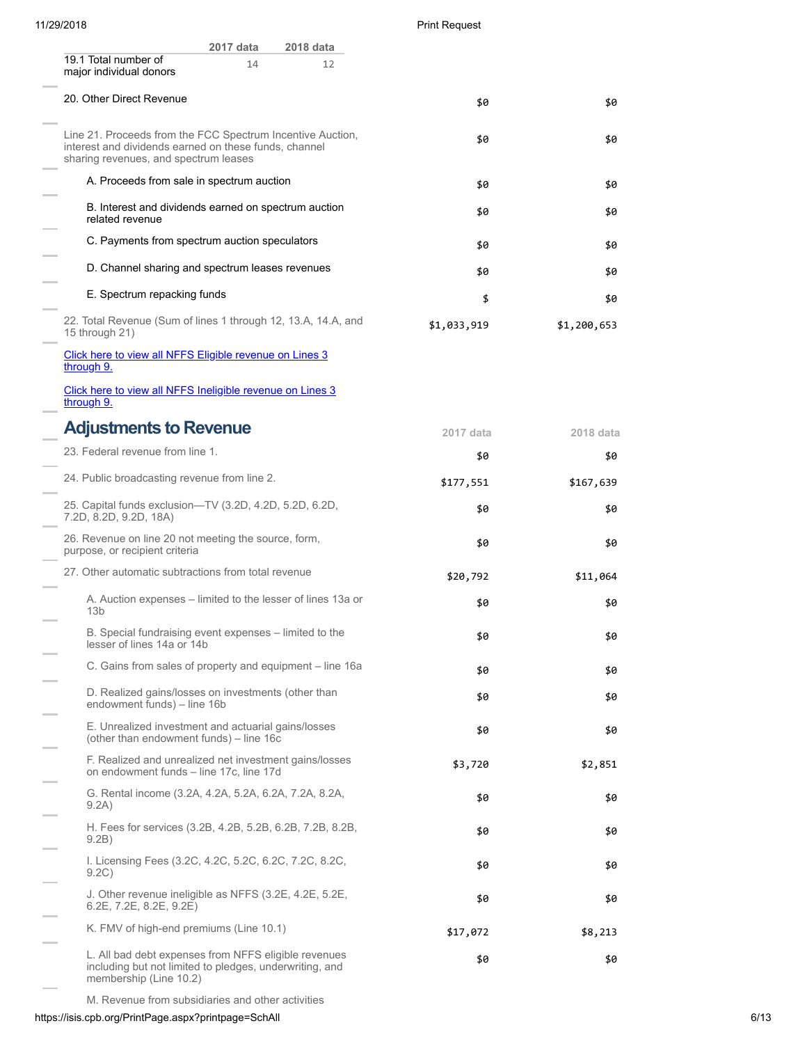| 11/29/2018 |  |  |
|------------|--|--|
|            |  |  |

Print Request

| 2017 data<br>2018 data                                                                                                                                       |             |             |
|--------------------------------------------------------------------------------------------------------------------------------------------------------------|-------------|-------------|
| 19.1 Total number of<br>14<br>12<br>major individual donors                                                                                                  |             |             |
| 20. Other Direct Revenue                                                                                                                                     | \$0         | \$0         |
| Line 21. Proceeds from the FCC Spectrum Incentive Auction,<br>interest and dividends earned on these funds, channel<br>sharing revenues, and spectrum leases | \$0         | \$0         |
| A. Proceeds from sale in spectrum auction                                                                                                                    | \$0         | \$0         |
| B. Interest and dividends earned on spectrum auction<br>related revenue                                                                                      | \$0         | \$0         |
| C. Payments from spectrum auction speculators                                                                                                                | \$0         | \$0         |
| D. Channel sharing and spectrum leases revenues                                                                                                              | \$0         | \$0         |
| E. Spectrum repacking funds                                                                                                                                  | \$          | \$0         |
| 22. Total Revenue (Sum of lines 1 through 12, 13.A, 14.A, and<br>15 through 21)                                                                              | \$1,033,919 | \$1,200,653 |
| Click here to view all NFFS Eligible revenue on Lines 3<br>through 9.                                                                                        |             |             |
| Click here to view all NFFS Ineligible revenue on Lines 3<br>through 9.                                                                                      |             |             |
| <b>Adjustments to Revenue</b>                                                                                                                                | 2017 data   | 2018 data   |
| 23. Federal revenue from line 1.                                                                                                                             | \$0         | \$0         |
| 24. Public broadcasting revenue from line 2.                                                                                                                 | \$177,551   | \$167,639   |
| 25. Capital funds exclusion-TV (3.2D, 4.2D, 5.2D, 6.2D,<br>7.2D, 8.2D, 9.2D, 18A)                                                                            | \$0         | \$0         |
| 26. Revenue on line 20 not meeting the source, form,<br>purpose, or recipient criteria                                                                       | \$0         | \$0         |
| 27. Other automatic subtractions from total revenue                                                                                                          | \$20,792    | \$11,064    |
| A. Auction expenses – limited to the lesser of lines 13a or<br>13 <sub>b</sub>                                                                               | \$0         | \$0         |
| B. Special fundraising event expenses – limited to the<br>lesser of lines 14a or 14b                                                                         | \$0         | \$0         |
| C. Gains from sales of property and equipment - line 16a                                                                                                     | \$0         | \$0         |
| D. Realized gains/losses on investments (other than<br>endowment funds) - line 16b                                                                           | \$0         | \$0         |
| E. Unrealized investment and actuarial gains/losses<br>(other than endowment funds) - line 16c                                                               | \$0         | \$0         |
| F. Realized and unrealized net investment gains/losses<br>on endowment funds - line 17c, line 17d                                                            | \$3,720     | \$2,851     |
| G. Rental income (3.2A, 4.2A, 5.2A, 6.2A, 7.2A, 8.2A,<br>9.2A)                                                                                               | \$0         | \$0         |
| H. Fees for services (3.2B, 4.2B, 5.2B, 6.2B, 7.2B, 8.2B,<br>9.2B)                                                                                           | \$0         | \$0         |
| I. Licensing Fees (3.2C, 4.2C, 5.2C, 6.2C, 7.2C, 8.2C,<br>9.2C)                                                                                              | \$0         | \$0         |
| J. Other revenue ineligible as NFFS (3.2E, 4.2E, 5.2E,<br>$6.2E$ , $7.2E$ , $8.2E$ , $9.2E$ )                                                                | \$0         | \$0         |
| K. FMV of high-end premiums (Line 10.1)                                                                                                                      | \$17,072    | \$8,213     |
| L. All bad debt expenses from NFFS eligible revenues<br>including but not limited to pledges, underwriting, and                                              | \$0         | \$0         |

membership (Line 10.2)

M. Revenue from subsidiaries and other activities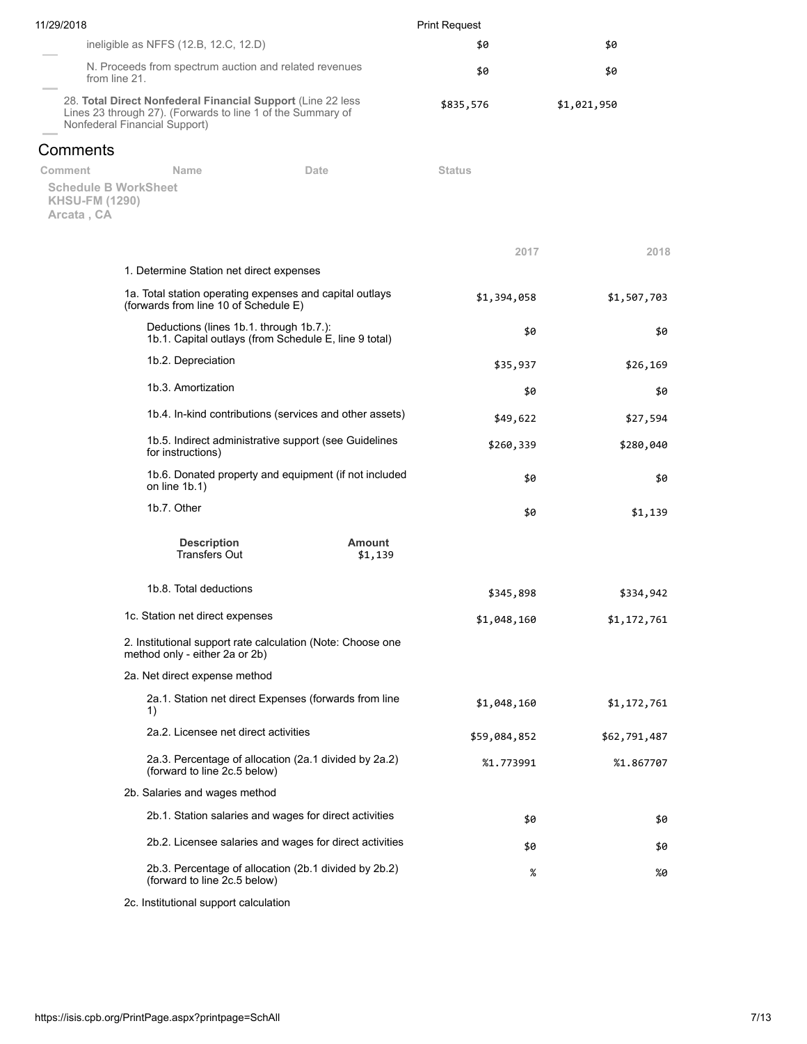| 11/29/2018                          |                                                                                                                                                             |                                                         | <b>Print Request</b> |              |  |  |
|-------------------------------------|-------------------------------------------------------------------------------------------------------------------------------------------------------------|---------------------------------------------------------|----------------------|--------------|--|--|
|                                     | ineligible as NFFS (12.B, 12.C, 12.D)                                                                                                                       |                                                         | \$0                  | \$0          |  |  |
|                                     | N. Proceeds from spectrum auction and related revenues<br>from line 21.                                                                                     |                                                         | \$0                  | \$0          |  |  |
|                                     | 28. Total Direct Nonfederal Financial Support (Line 22 less<br>Lines 23 through 27). (Forwards to line 1 of the Summary of<br>Nonfederal Financial Support) |                                                         | \$835,576            | \$1,021,950  |  |  |
| Comments                            |                                                                                                                                                             |                                                         |                      |              |  |  |
| Comment                             | Name                                                                                                                                                        | Date                                                    | <b>Status</b>        |              |  |  |
| <b>KHSU-FM (1290)</b><br>Arcata, CA | <b>Schedule B WorkSheet</b>                                                                                                                                 |                                                         |                      |              |  |  |
|                                     |                                                                                                                                                             |                                                         | 2017                 | 2018         |  |  |
|                                     | 1. Determine Station net direct expenses                                                                                                                    |                                                         |                      |              |  |  |
|                                     | 1a. Total station operating expenses and capital outlays<br>(forwards from line 10 of Schedule E)                                                           |                                                         | \$1,394,058          | \$1,507,703  |  |  |
|                                     | Deductions (lines 1b.1. through 1b.7.):                                                                                                                     | 1b.1. Capital outlays (from Schedule E, line 9 total)   | \$0                  | \$0          |  |  |
|                                     | 1b.2. Depreciation                                                                                                                                          |                                                         | \$35,937             | \$26,169     |  |  |
|                                     | 1b.3. Amortization                                                                                                                                          |                                                         | \$0                  | \$0          |  |  |
|                                     |                                                                                                                                                             | 1b.4. In-kind contributions (services and other assets) | \$49,622             | \$27,594     |  |  |
|                                     | for instructions)                                                                                                                                           | 1b.5. Indirect administrative support (see Guidelines   | \$260,339            | \$280,040    |  |  |
|                                     | on line $1b.1$ )                                                                                                                                            | 1b.6. Donated property and equipment (if not included   | \$0                  | \$0          |  |  |
|                                     | 1b.7. Other                                                                                                                                                 |                                                         | \$0                  | \$1,139      |  |  |
|                                     | <b>Description</b><br><b>Transfers Out</b>                                                                                                                  | <b>Amount</b><br>\$1,139                                |                      |              |  |  |
|                                     | 1b.8. Total deductions                                                                                                                                      |                                                         | \$345,898            | \$334,942    |  |  |
|                                     | 1c. Station net direct expenses                                                                                                                             |                                                         | \$1,048,160          | \$1,172,761  |  |  |
|                                     | 2. Institutional support rate calculation (Note: Choose one<br>method only - either 2a or 2b)                                                               |                                                         |                      |              |  |  |
|                                     | 2a. Net direct expense method                                                                                                                               |                                                         |                      |              |  |  |
|                                     | 1)                                                                                                                                                          | 2a.1. Station net direct Expenses (forwards from line   | \$1,048,160          | \$1,172,761  |  |  |
|                                     | 2a.2. Licensee net direct activities                                                                                                                        |                                                         | \$59,084,852         | \$62,791,487 |  |  |
|                                     | (forward to line 2c.5 below)                                                                                                                                | 2a.3. Percentage of allocation (2a.1 divided by 2a.2)   | %1.773991            | %1.867707    |  |  |
|                                     | 2b. Salaries and wages method                                                                                                                               |                                                         |                      |              |  |  |
|                                     |                                                                                                                                                             | 2b.1. Station salaries and wages for direct activities  | \$0                  | \$0          |  |  |
|                                     |                                                                                                                                                             | 2b.2. Licensee salaries and wages for direct activities | \$0                  | \$0          |  |  |
|                                     | (forward to line 2c.5 below)                                                                                                                                | 2b.3. Percentage of allocation (2b.1 divided by 2b.2)   | %                    | %0           |  |  |
|                                     | 2c. Institutional support calculation                                                                                                                       |                                                         |                      |              |  |  |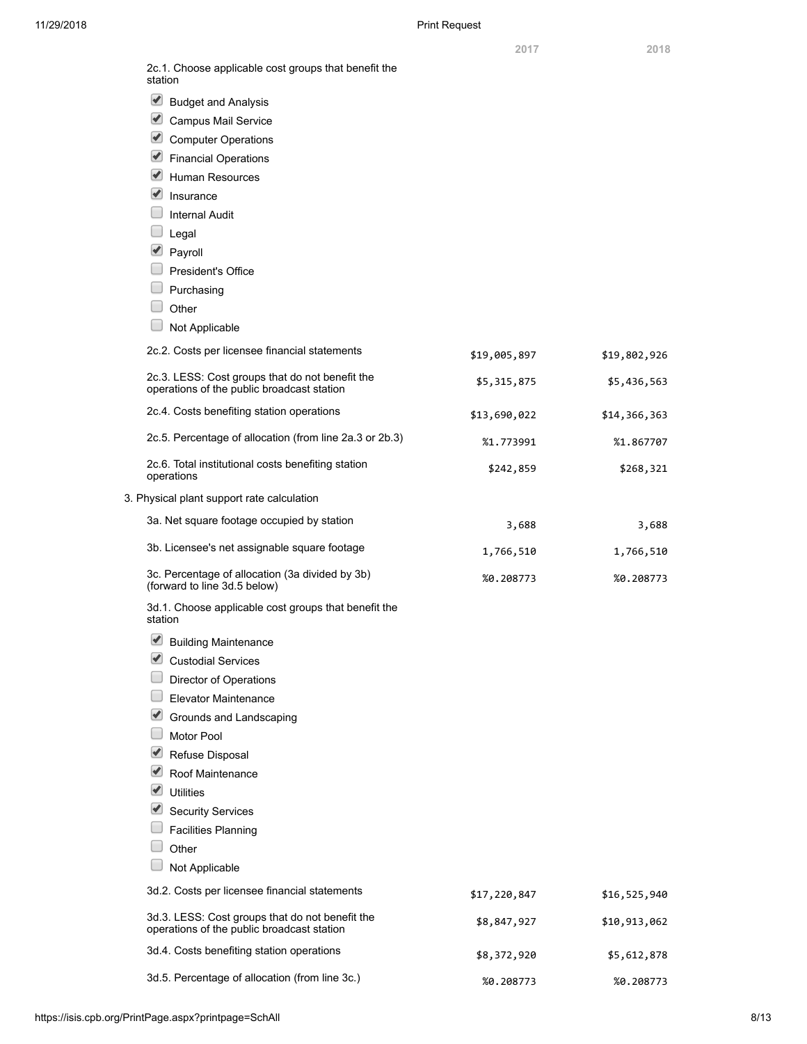| 2c.1. Choose applicable cost groups that benefit the<br>station                               |              |              |
|-----------------------------------------------------------------------------------------------|--------------|--------------|
| $\blacktriangleright$<br><b>Budget and Analysis</b>                                           |              |              |
| $\blacktriangleright$<br>Campus Mail Service                                                  |              |              |
| $\blacktriangledown$<br><b>Computer Operations</b>                                            |              |              |
| $\blacktriangleright$<br><b>Financial Operations</b>                                          |              |              |
| ✔<br><b>Human Resources</b>                                                                   |              |              |
| $\blacktriangledown$<br>Insurance                                                             |              |              |
| <b>Internal Audit</b>                                                                         |              |              |
| Legal                                                                                         |              |              |
| $\blacktriangledown$<br>Payroll                                                               |              |              |
| President's Office                                                                            |              |              |
| Purchasing                                                                                    |              |              |
| Other                                                                                         |              |              |
| Not Applicable                                                                                |              |              |
| 2c.2. Costs per licensee financial statements                                                 | \$19,005,897 | \$19,802,926 |
| 2c.3. LESS: Cost groups that do not benefit the<br>operations of the public broadcast station | \$5,315,875  | \$5,436,563  |
| 2c.4. Costs benefiting station operations                                                     | \$13,690,022 | \$14,366,363 |
| 2c.5. Percentage of allocation (from line 2a.3 or 2b.3)                                       | %1.773991    | %1.867707    |
| 2c.6. Total institutional costs benefiting station<br>operations                              | \$242,859    | \$268,321    |
| 3. Physical plant support rate calculation                                                    |              |              |
| 3a. Net square footage occupied by station                                                    | 3,688        | 3,688        |
| 3b. Licensee's net assignable square footage                                                  | 1,766,510    | 1,766,510    |
| 3c. Percentage of allocation (3a divided by 3b)<br>(forward to line 3d.5 below)               | %0.208773    | %0.208773    |
| 3d.1. Choose applicable cost groups that benefit the<br>station                               |              |              |
| $\blacktriangleright$<br><b>Building Maintenance</b>                                          |              |              |
| ✔<br><b>Custodial Services</b>                                                                |              |              |
| Director of Operations                                                                        |              |              |
| Elevator Maintenance                                                                          |              |              |
| ✔<br>Grounds and Landscaping                                                                  |              |              |
| Motor Pool                                                                                    |              |              |
| ✔<br>Refuse Disposal                                                                          |              |              |
| $ \blacktriangledown $<br>Roof Maintenance                                                    |              |              |
| $ \blacktriangledown $<br><b>Utilities</b>                                                    |              |              |
| $\blacktriangledown$<br><b>Security Services</b>                                              |              |              |
| <b>Facilities Planning</b>                                                                    |              |              |
| Other                                                                                         |              |              |
| Not Applicable                                                                                |              |              |
| 3d.2. Costs per licensee financial statements                                                 | \$17,220,847 | \$16,525,940 |
| 3d.3. LESS: Cost groups that do not benefit the<br>operations of the public broadcast station | \$8,847,927  | \$10,913,062 |
| 3d.4. Costs benefiting station operations                                                     | \$8,372,920  | \$5,612,878  |
| 3d.5. Percentage of allocation (from line 3c.)                                                | %0.208773    | %0.208773    |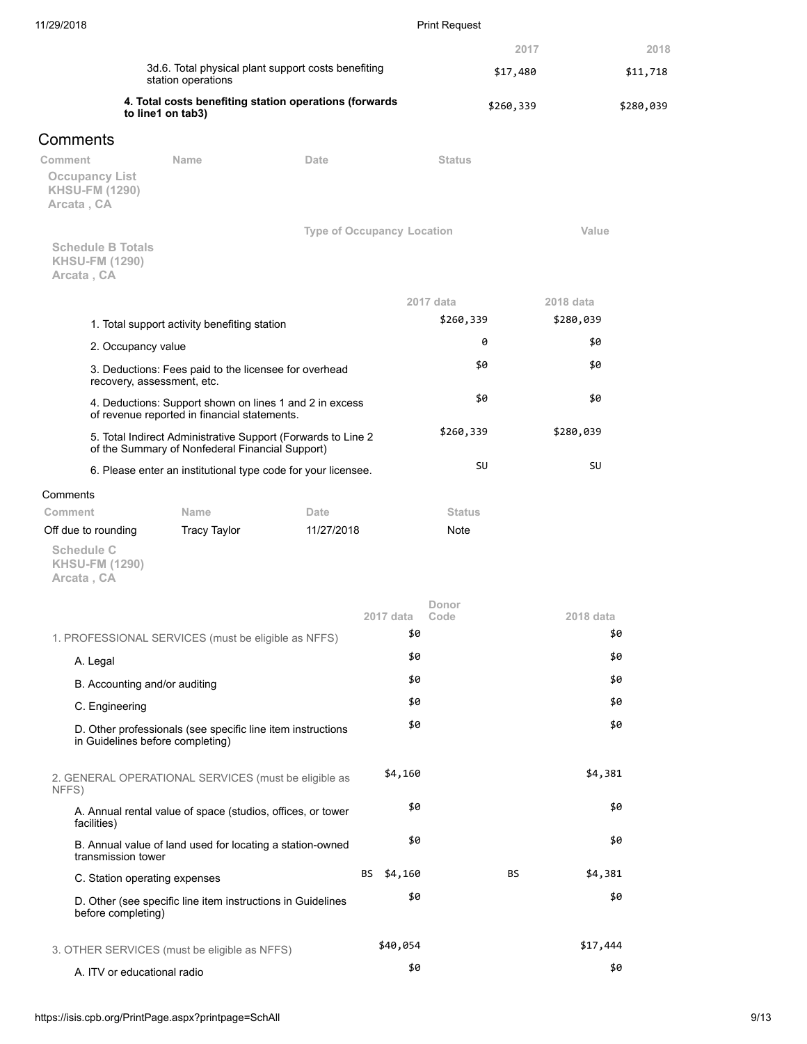| 11/29/2018                                                      |                                                                                                                 |                                   |           | <b>Print Request</b> |               |           |
|-----------------------------------------------------------------|-----------------------------------------------------------------------------------------------------------------|-----------------------------------|-----------|----------------------|---------------|-----------|
|                                                                 |                                                                                                                 |                                   |           |                      | 2017          | 2018      |
|                                                                 | 3d.6. Total physical plant support costs benefiting<br>station operations                                       |                                   |           |                      | \$17,480      | \$11,718  |
|                                                                 | 4. Total costs benefiting station operations (forwards<br>to line1 on tab3)                                     |                                   |           |                      | \$260,339     | \$280,039 |
| Comments                                                        |                                                                                                                 |                                   |           |                      |               |           |
| Comment                                                         | Name                                                                                                            | Date                              |           | <b>Status</b>        |               |           |
| <b>Occupancy List</b><br><b>KHSU-FM (1290)</b><br>Arcata, CA    |                                                                                                                 |                                   |           |                      |               |           |
|                                                                 |                                                                                                                 | <b>Type of Occupancy Location</b> |           |                      | Value         |           |
| <b>Schedule B Totals</b><br><b>KHSU-FM (1290)</b><br>Arcata, CA |                                                                                                                 |                                   |           |                      |               |           |
|                                                                 |                                                                                                                 |                                   |           | 2017 data            | 2018 data     |           |
|                                                                 | 1. Total support activity benefiting station                                                                    |                                   |           | \$260,339            | \$280,039     |           |
| 2. Occupancy value                                              |                                                                                                                 |                                   |           | 0                    | \$0           |           |
|                                                                 | 3. Deductions: Fees paid to the licensee for overhead<br>recovery, assessment, etc.                             |                                   |           | \$0                  | \$0           |           |
|                                                                 | 4. Deductions: Support shown on lines 1 and 2 in excess<br>of revenue reported in financial statements.         |                                   |           | \$0                  | \$0           |           |
|                                                                 | 5. Total Indirect Administrative Support (Forwards to Line 2<br>of the Summary of Nonfederal Financial Support) |                                   |           | \$260,339            | \$280,039     |           |
|                                                                 | 6. Please enter an institutional type code for your licensee.                                                   |                                   |           | SU                   | SU            |           |
| Comments                                                        |                                                                                                                 |                                   |           |                      |               |           |
| Comment                                                         | Name                                                                                                            | Date                              |           | <b>Status</b>        |               |           |
| Off due to rounding                                             | <b>Tracy Taylor</b>                                                                                             | 11/27/2018                        |           | Note                 |               |           |
| Schedule C<br><b>KHSU-FM (1290)</b><br>Arcata, CA               |                                                                                                                 |                                   |           |                      |               |           |
|                                                                 |                                                                                                                 |                                   |           | Donor                |               |           |
|                                                                 |                                                                                                                 |                                   | 2017 data | Code                 | 2018 data     |           |
|                                                                 | 1. PROFESSIONAL SERVICES (must be eligible as NFFS)                                                             |                                   | \$0       |                      |               | \$0       |
| A. Legal                                                        |                                                                                                                 |                                   | \$0       |                      |               | \$0       |
| B. Accounting and/or auditing                                   |                                                                                                                 |                                   | \$0       |                      |               | \$0       |
| C. Engineering                                                  |                                                                                                                 |                                   | \$0       |                      |               | \$0       |
|                                                                 | D. Other professionals (see specific line item instructions<br>in Guidelines before completing)                 |                                   | \$0       |                      |               | \$0       |
| NFFS)                                                           | 2. GENERAL OPERATIONAL SERVICES (must be eligible as                                                            |                                   | \$4,160   |                      | \$4,381       |           |
| facilities)                                                     | A. Annual rental value of space (studios, offices, or tower                                                     |                                   | \$0       |                      |               | \$0       |
| transmission tower                                              | B. Annual value of land used for locating a station-owned                                                       |                                   | \$0       |                      |               | \$0       |
| C. Station operating expenses                                   |                                                                                                                 | BS                                | \$4,160   |                      | ΒS<br>\$4,381 |           |
| before completing)                                              | D. Other (see specific line item instructions in Guidelines                                                     |                                   | \$0       |                      |               | \$0       |
|                                                                 | 3. OTHER SERVICES (must be eligible as NFFS)                                                                    |                                   | \$40,054  |                      | \$17,444      |           |
| A. ITV or educational radio                                     |                                                                                                                 |                                   | \$0       |                      |               | \$0       |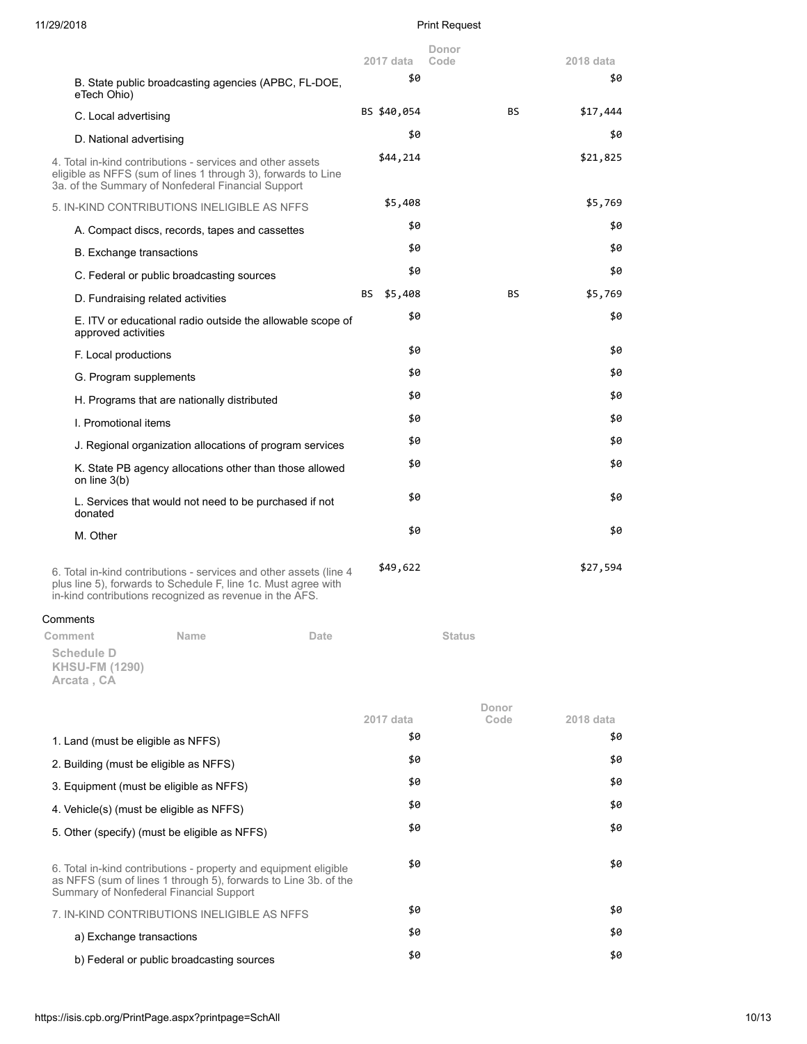# 11/29/2018 Print Request

|                                                                                                                                                                                                 | $2017$ data      | Donor<br>Code | 2018 data        |
|-------------------------------------------------------------------------------------------------------------------------------------------------------------------------------------------------|------------------|---------------|------------------|
| B. State public broadcasting agencies (APBC, FL-DOE,                                                                                                                                            | \$0              |               | \$0              |
| eTech Ohio)                                                                                                                                                                                     | BS \$40,054      | BS.           | \$17,444         |
| C. Local advertising                                                                                                                                                                            | \$0              |               | \$0              |
| D. National advertising                                                                                                                                                                         |                  |               |                  |
| 4. Total in-kind contributions - services and other assets<br>eligible as NFFS (sum of lines 1 through 3), forwards to Line<br>3a. of the Summary of Nonfederal Financial Support               | \$44,214         |               | \$21,825         |
| 5. IN-KIND CONTRIBUTIONS INELIGIBLE AS NFFS                                                                                                                                                     | \$5,408          |               | \$5,769          |
| A. Compact discs, records, tapes and cassettes                                                                                                                                                  | \$0              |               | \$0              |
| B. Exchange transactions                                                                                                                                                                        | \$0              |               | \$0              |
| C. Federal or public broadcasting sources                                                                                                                                                       | \$0              |               | \$0              |
| D. Fundraising related activities                                                                                                                                                               | BS \$5,408       | BS.           | \$5,769          |
| E. ITV or educational radio outside the allowable scope of<br>approved activities                                                                                                               | \$0              |               | \$0              |
| F. Local productions                                                                                                                                                                            | \$0              |               | \$0              |
| G. Program supplements                                                                                                                                                                          | \$0              |               | \$0              |
| H. Programs that are nationally distributed                                                                                                                                                     | \$0              |               | \$0              |
| I. Promotional items                                                                                                                                                                            | \$0              |               | \$0              |
| J. Regional organization allocations of program services                                                                                                                                        | \$0              |               | \$0              |
| K. State PB agency allocations other than those allowed<br>on line $3(b)$                                                                                                                       | \$0              |               | \$0              |
| L. Services that would not need to be purchased if not<br>donated                                                                                                                               | \$0              |               | \$0              |
| M. Other                                                                                                                                                                                        | \$0              |               | \$0              |
| 6. Total in-kind contributions - services and other assets (line 4<br>plus line 5), forwards to Schedule F, line 1c. Must agree with<br>in-kind contributions recognized as revenue in the AFS. | \$49,622         |               | \$27,594         |
| Comments                                                                                                                                                                                        |                  |               |                  |
| Comment<br>Name<br>Date                                                                                                                                                                         |                  | <b>Status</b> |                  |
| <b>Schedule D</b><br><b>KHSU-FM (1290)</b><br>Arcata, CA                                                                                                                                        |                  |               |                  |
|                                                                                                                                                                                                 |                  | Donor         |                  |
|                                                                                                                                                                                                 | 2017 data<br>\$0 | Code          | 2018 data<br>\$0 |
| 1. Land (must be eligible as NFFS)                                                                                                                                                              | \$0              |               | \$0              |
| 2. Building (must be eligible as NFFS)                                                                                                                                                          | \$0              |               | \$0              |
| 3. Equipment (must be eligible as NFFS)                                                                                                                                                         | \$0              |               | \$0              |
| 4. Vehicle(s) (must be eligible as NFFS)                                                                                                                                                        | \$0              |               | \$0              |
| 5. Other (specify) (must be eligible as NFFS)                                                                                                                                                   |                  |               |                  |
| 6. Total in-kind contributions - property and equipment eligible<br>as NFFS (sum of lines 1 through 5), forwards to Line 3b. of the<br>Summary of Nonfederal Financial Support                  | \$0              |               | \$0              |
| 7. IN-KIND CONTRIBUTIONS INELIGIBLE AS NFFS                                                                                                                                                     | \$0              |               | \$0              |
| a) Exchange transactions                                                                                                                                                                        | \$0              |               | \$0              |
| b) Federal or public broadcasting sources                                                                                                                                                       | \$0              |               | \$0              |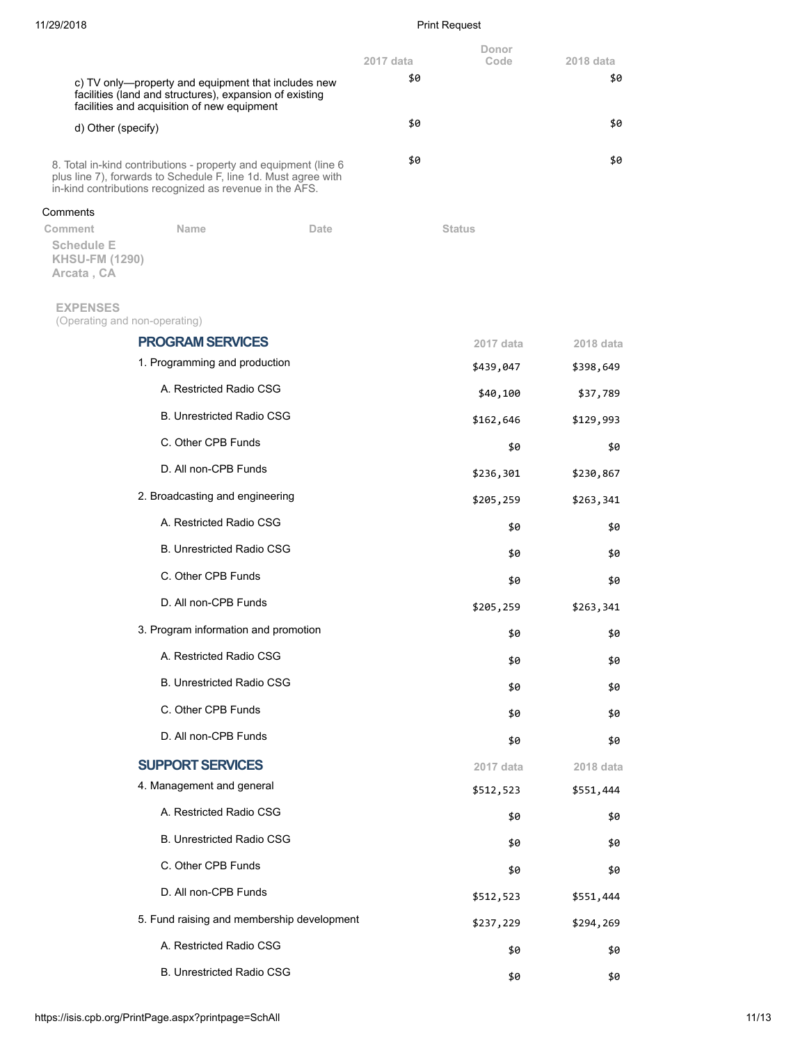# 11/29/2018 Print Request

|                                                                     |                                                                                                                                                                                              |      | 2017 data | Donor<br>Code | 2018 data |
|---------------------------------------------------------------------|----------------------------------------------------------------------------------------------------------------------------------------------------------------------------------------------|------|-----------|---------------|-----------|
|                                                                     | c) TV only—property and equipment that includes new<br>facilities (land and structures), expansion of existing<br>facilities and acquisition of new equipment                                |      | \$0       |               | \$0       |
| d) Other (specify)                                                  |                                                                                                                                                                                              |      | \$0       |               | \$0       |
|                                                                     | 8. Total in-kind contributions - property and equipment (line 6<br>plus line 7), forwards to Schedule F, line 1d. Must agree with<br>in-kind contributions recognized as revenue in the AFS. |      | \$0       |               | \$0       |
| Comments                                                            |                                                                                                                                                                                              |      |           |               |           |
| Comment<br><b>Schedule E</b><br><b>KHSU-FM (1290)</b><br>Arcata, CA | <b>Name</b>                                                                                                                                                                                  | Date |           | <b>Status</b> |           |
| <b>EXPENSES</b>                                                     |                                                                                                                                                                                              |      |           |               |           |
| (Operating and non-operating)                                       | <b>PROGRAM SERVICES</b>                                                                                                                                                                      |      |           | 2017 data     | 2018 data |
|                                                                     | 1. Programming and production                                                                                                                                                                |      |           | \$439,047     | \$398,649 |
|                                                                     | A. Restricted Radio CSG                                                                                                                                                                      |      |           | \$40,100      | \$37,789  |
|                                                                     | <b>B. Unrestricted Radio CSG</b>                                                                                                                                                             |      |           | \$162,646     | \$129,993 |
|                                                                     | C. Other CPB Funds                                                                                                                                                                           |      |           | \$0           | \$0       |
|                                                                     | D. All non-CPB Funds                                                                                                                                                                         |      |           | \$236,301     | \$230,867 |
|                                                                     | 2. Broadcasting and engineering                                                                                                                                                              |      |           | \$205,259     | \$263,341 |
|                                                                     | A. Restricted Radio CSG                                                                                                                                                                      |      |           | \$0           | \$0       |
|                                                                     | <b>B. Unrestricted Radio CSG</b>                                                                                                                                                             |      |           | \$0           | \$0       |
|                                                                     | C. Other CPB Funds                                                                                                                                                                           |      |           | \$0           | \$0       |
|                                                                     | D. All non-CPB Funds                                                                                                                                                                         |      |           | \$205,259     | \$263,341 |
|                                                                     | 3. Program information and promotion                                                                                                                                                         |      |           | \$0           | \$0       |
|                                                                     | A. Restricted Radio CSG                                                                                                                                                                      |      |           | \$0           | \$0       |
|                                                                     | <b>B. Unrestricted Radio CSG</b>                                                                                                                                                             |      |           | \$0           | \$0       |
|                                                                     | C. Other CPB Funds                                                                                                                                                                           |      |           | \$0           | \$0       |
|                                                                     | D. All non-CPB Funds                                                                                                                                                                         |      |           | \$0           | \$0       |
|                                                                     | <b>SUPPORT SERVICES</b>                                                                                                                                                                      |      |           | 2017 data     | 2018 data |
|                                                                     | 4. Management and general                                                                                                                                                                    |      |           | \$512,523     | \$551,444 |
|                                                                     | A. Restricted Radio CSG                                                                                                                                                                      |      |           | \$0           | \$0       |
|                                                                     | <b>B. Unrestricted Radio CSG</b>                                                                                                                                                             |      |           | \$0           | \$0       |
|                                                                     | C. Other CPB Funds                                                                                                                                                                           |      |           | \$0           | \$0       |
|                                                                     | D. All non-CPB Funds                                                                                                                                                                         |      |           | \$512,523     | \$551,444 |
|                                                                     | 5. Fund raising and membership development                                                                                                                                                   |      |           | \$237,229     | \$294,269 |
|                                                                     | A. Restricted Radio CSG                                                                                                                                                                      |      |           | \$0           | \$0       |
|                                                                     | B. Unrestricted Radio CSG                                                                                                                                                                    |      |           | \$0           | \$0       |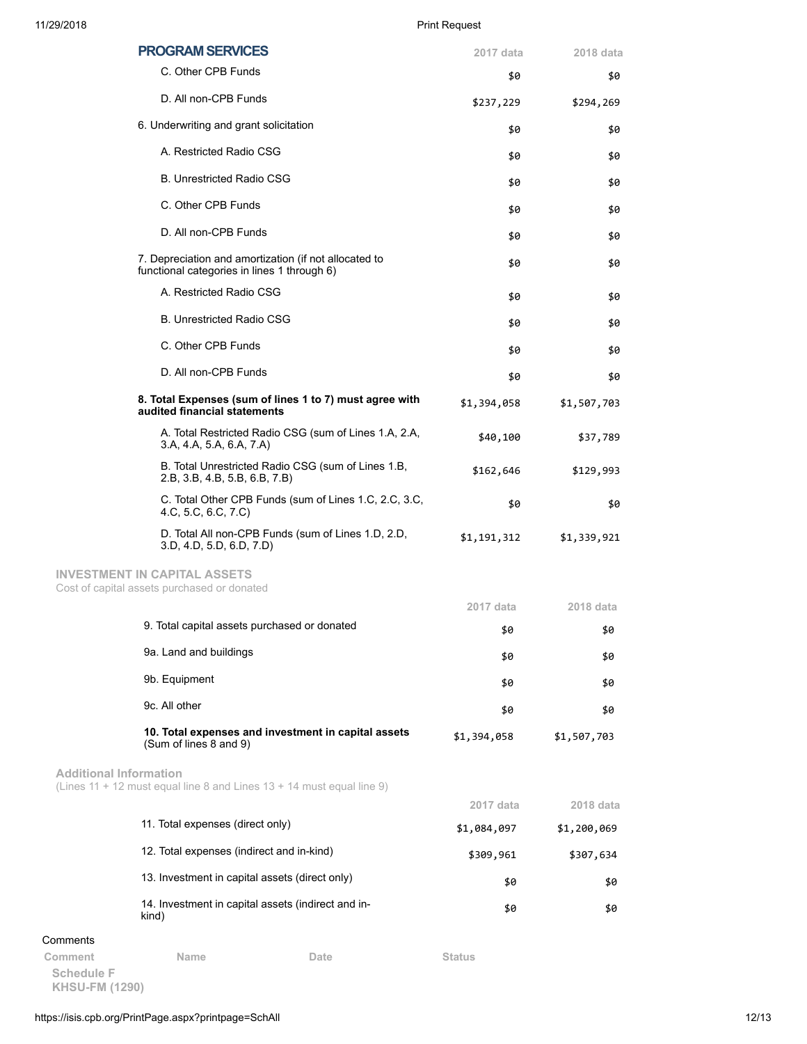|                               | <b>PROGRAM SERVICES</b>                                                                              | 2017 data     | 2018 data   |
|-------------------------------|------------------------------------------------------------------------------------------------------|---------------|-------------|
|                               | C. Other CPB Funds                                                                                   | \$0           | \$0         |
|                               | D. All non-CPB Funds                                                                                 | \$237,229     | \$294,269   |
|                               | 6. Underwriting and grant solicitation                                                               | \$0           | \$0         |
|                               | A. Restricted Radio CSG                                                                              | \$0           | \$0         |
|                               | <b>B. Unrestricted Radio CSG</b>                                                                     | \$0           | \$0         |
|                               | C. Other CPB Funds                                                                                   | \$0           | \$0         |
|                               | D. All non-CPB Funds                                                                                 | \$0           | \$0         |
|                               | 7. Depreciation and amortization (if not allocated to<br>functional categories in lines 1 through 6) | \$0           | \$0         |
|                               | A. Restricted Radio CSG                                                                              | \$0           | \$0         |
|                               | <b>B. Unrestricted Radio CSG</b>                                                                     | \$0           | \$0         |
|                               | C. Other CPB Funds                                                                                   | \$0           | \$0         |
|                               | D. All non-CPB Funds                                                                                 | \$0           | \$0         |
|                               | 8. Total Expenses (sum of lines 1 to 7) must agree with<br>audited financial statements              | \$1,394,058   | \$1,507,703 |
|                               | A. Total Restricted Radio CSG (sum of Lines 1.A, 2.A,<br>3.A, 4.A, 5.A, 6.A, 7.A)                    | \$40,100      | \$37,789    |
|                               | B. Total Unrestricted Radio CSG (sum of Lines 1.B,<br>2.B, 3.B, 4.B, 5.B, 6.B, 7.B)                  | \$162,646     | \$129,993   |
|                               | C. Total Other CPB Funds (sum of Lines 1.C, 2.C, 3.C,<br>4.C, 5.C, 6.C, 7.C)                         | \$0           | \$0         |
|                               | D. Total All non-CPB Funds (sum of Lines 1.D, 2.D,<br>3.D, 4.D, 5.D, 6.D, 7.D)                       | \$1,191,312   | \$1,339,921 |
|                               | <b>INVESTMENT IN CAPITAL ASSETS</b><br>Cost of capital assets purchased or donated                   |               |             |
|                               |                                                                                                      | 2017 data     | 2018 data   |
|                               | 9. Total capital assets purchased or donated                                                         | \$0           | \$0         |
|                               | 9a. Land and buildings                                                                               | \$0           | \$0         |
|                               | 9b. Equipment                                                                                        | \$0           | \$0         |
|                               | 9c. All other                                                                                        | \$0           | \$0         |
|                               | 10. Total expenses and investment in capital assets<br>(Sum of lines 8 and 9)                        | \$1,394,058   | \$1,507,703 |
| <b>Additional Information</b> | (Lines 11 + 12 must equal line 8 and Lines 13 + 14 must equal line 9)                                |               |             |
|                               |                                                                                                      | 2017 data     | 2018 data   |
|                               | 11. Total expenses (direct only)                                                                     | \$1,084,097   | \$1,200,069 |
|                               | 12. Total expenses (indirect and in-kind)                                                            | \$309,961     | \$307,634   |
|                               | 13. Investment in capital assets (direct only)                                                       | \$0           | \$0         |
|                               | 14. Investment in capital assets (indirect and in-<br>kind)                                          | \$0           | \$0         |
| Comments                      |                                                                                                      |               |             |
| Comment                       | Name<br>Date                                                                                         | <b>Status</b> |             |

**Schedule F KHSU-FM (1290)**